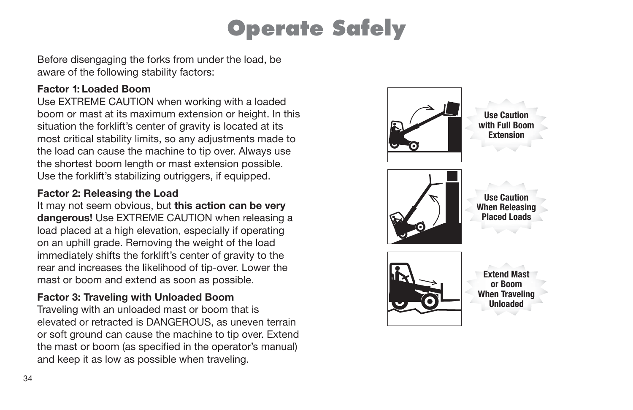# **Operate Safely**

Before disengaging the forks from under the load, be aware of the following stability factors:

#### **Factor 1: Loaded Boom**

Use EXTREME CAUTION when working with a loaded boom or mast at its maximum extension or height. In this situation the forklift's center of gravity is located at its most critical stability limits, so any adjustments made to the load can cause the machine to tip over. Always use the shortest boom length or mast extension possible. Use the forklift's stabilizing outriggers, if equipped.

#### **Factor 2: Releasing the Load**

It may not seem obvious, but **this action can be very dangerous!** Use EXTREME CAUTION when releasing a load placed at a high elevation, especially if operating on an uphill grade. Removing the weight of the load immediately shifts the forklift's center of gravity to the rear and increases the likelihood of tip-over. Lower the mast or boom and extend as soon as possible.

#### **Factor 3: Traveling with Unloaded Boom**

Traveling with an unloaded mast or boom that is elevated or retracted is DANGEROUS, as uneven terrain or soft ground can cause the machine to tip over. Extend the mast or boom (as specified in the operator's manual) and keep it as low as possible when traveling.

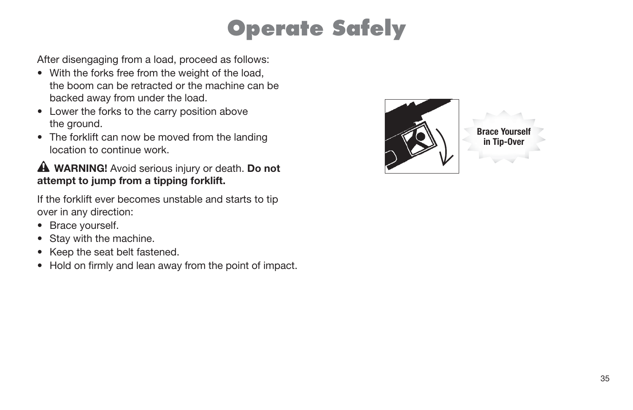# **Operate Safely**

After disengaging from a load, proceed as follows:

- With the forks free from the weight of the load, the boom can be retracted or the machine can be backed away from under the load.
- Lower the forks to the carry position above the ground.
- The forklift can now be moved from the landing location to continue work.

### **WARNING!** Avoid serious injury or death. **Do not attempt to jump from a tipping forklift.**

If the forklift ever becomes unstable and starts to tip over in any direction:

- Brace yourself.
- Stay with the machine.
- Keep the seat belt fastened.
- Hold on firmly and lean away from the point of impact.



**Brace Your in Tip-Ove**